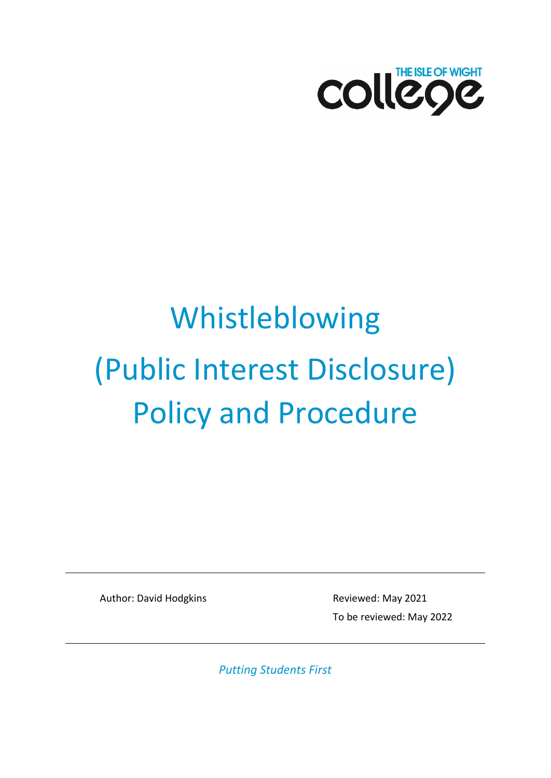

# Whistleblowing (Public Interest Disclosure) Policy and Procedure

Author: David Hodgkins **Reviewed: May 2021** 

To be reviewed: May 2022

*Putting Students First*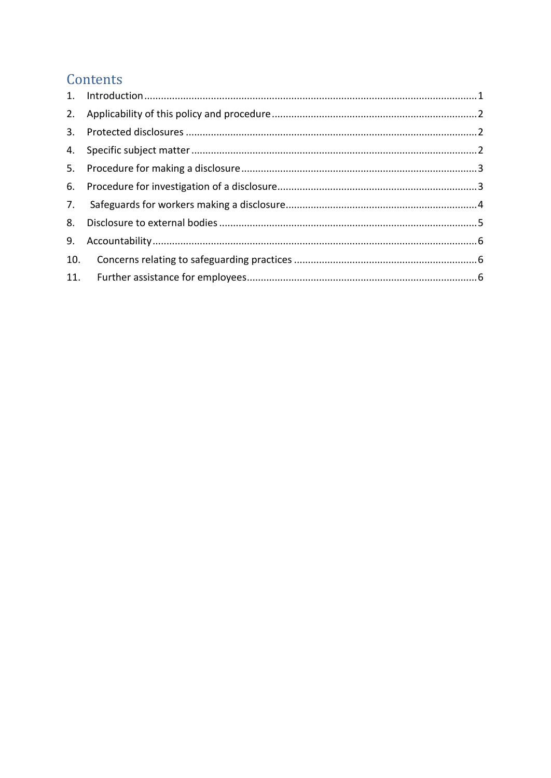# Contents

| 3.  |  |
|-----|--|
|     |  |
|     |  |
|     |  |
|     |  |
|     |  |
| 9.  |  |
| 10. |  |
|     |  |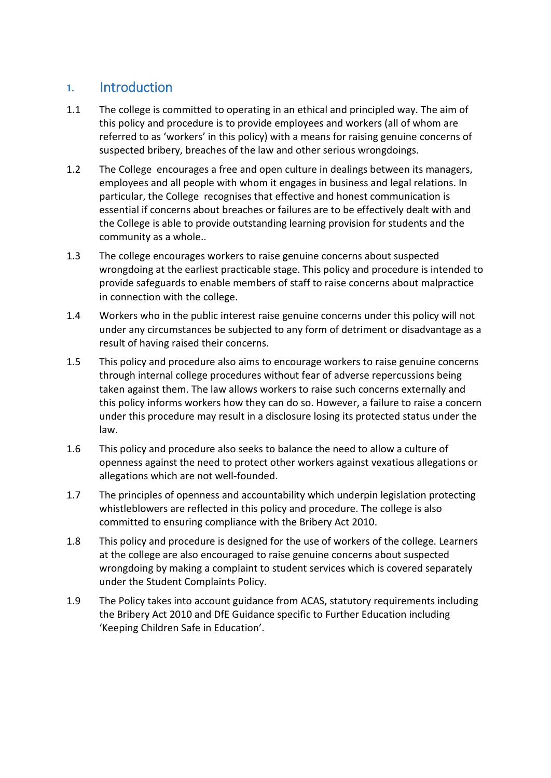#### <span id="page-2-0"></span>**1.** Introduction

- 1.1 The college is committed to operating in an ethical and principled way. The aim of this policy and procedure is to provide employees and workers (all of whom are referred to as 'workers' in this policy) with a means for raising genuine concerns of suspected bribery, breaches of the law and other serious wrongdoings.
- 1.2 The College encourages a free and open culture in dealings between its managers, employees and all people with whom it engages in business and legal relations. In particular, the College recognises that effective and honest communication is essential if concerns about breaches or failures are to be effectively dealt with and the College is able to provide outstanding learning provision for students and the community as a whole..
- 1.3 The college encourages workers to raise genuine concerns about suspected wrongdoing at the earliest practicable stage. This policy and procedure is intended to provide safeguards to enable members of staff to raise concerns about malpractice in connection with the college.
- 1.4 Workers who in the public interest raise genuine concerns under this policy will not under any circumstances be subjected to any form of detriment or disadvantage as a result of having raised their concerns.
- 1.5 This policy and procedure also aims to encourage workers to raise genuine concerns through internal college procedures without fear of adverse repercussions being taken against them. The law allows workers to raise such concerns externally and this policy informs workers how they can do so. However, a failure to raise a concern under this procedure may result in a disclosure losing its protected status under the law.
- 1.6 This policy and procedure also seeks to balance the need to allow a culture of openness against the need to protect other workers against vexatious allegations or allegations which are not well-founded.
- 1.7 The principles of openness and accountability which underpin legislation protecting whistleblowers are reflected in this policy and procedure. The college is also committed to ensuring compliance with the Bribery Act 2010.
- 1.8 This policy and procedure is designed for the use of workers of the college. Learners at the college are also encouraged to raise genuine concerns about suspected wrongdoing by making a complaint to student services which is covered separately under the Student Complaints Policy.
- 1.9 The Policy takes into account guidance from ACAS, statutory requirements including the Bribery Act 2010 and DfE Guidance specific to Further Education including 'Keeping Children Safe in Education'.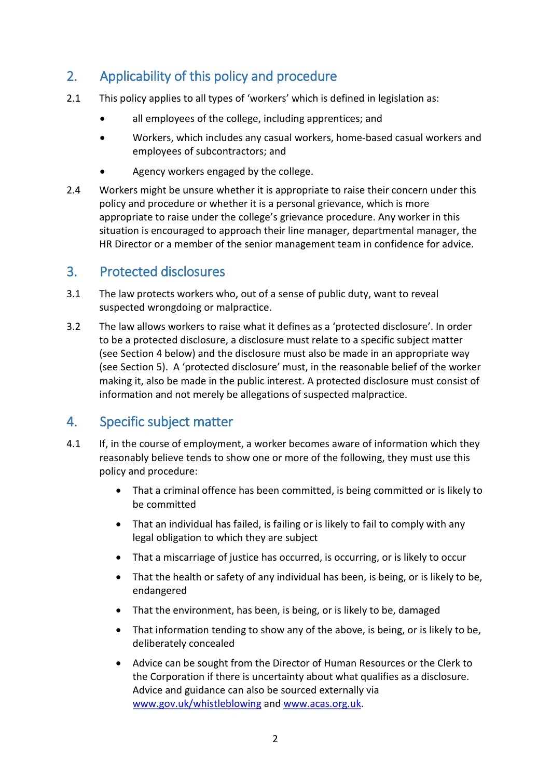# <span id="page-3-0"></span>2. Applicability of this policy and procedure

- 2.1 This policy applies to all types of 'workers' which is defined in legislation as:
	- all employees of the college, including apprentices; and
	- Workers, which includes any casual workers, home-based casual workers and employees of subcontractors; and
	- Agency workers engaged by the college.
- 2.4 Workers might be unsure whether it is appropriate to raise their concern under this policy and procedure or whether it is a personal grievance, which is more appropriate to raise under the college's grievance procedure. Any worker in this situation is encouraged to approach their line manager, departmental manager, the HR Director or a member of the senior management team in confidence for advice.

### <span id="page-3-1"></span>3. Protected disclosures

- 3.1 The law protects workers who, out of a sense of public duty, want to reveal suspected wrongdoing or malpractice.
- 3.2 The law allows workers to raise what it defines as a 'protected disclosure'. In order to be a protected disclosure, a disclosure must relate to a specific subject matter (see Section 4 below) and the disclosure must also be made in an appropriate way (see Section 5). A 'protected disclosure' must, in the reasonable belief of the worker making it, also be made in the public interest. A protected disclosure must consist of information and not merely be allegations of suspected malpractice.

# <span id="page-3-2"></span>4. Specific subject matter

- 4.1 If, in the course of employment, a worker becomes aware of information which they reasonably believe tends to show one or more of the following, they must use this policy and procedure:
	- That a criminal offence has been committed, is being committed or is likely to be committed
	- That an individual has failed, is failing or is likely to fail to comply with any legal obligation to which they are subject
	- That a miscarriage of justice has occurred, is occurring, or is likely to occur
	- That the health or safety of any individual has been, is being, or is likely to be, endangered
	- That the environment, has been, is being, or is likely to be, damaged
	- That information tending to show any of the above, is being, or is likely to be, deliberately concealed
	- Advice can be sought from the Director of Human Resources or the Clerk to the Corporation if there is uncertainty about what qualifies as a disclosure. Advice and guidance can also be sourced externally via [www.gov.uk/whistleblowing](http://www.gov.uk/whistleblowing) and [www.acas.org.uk.](http://www.acas.org.uk/)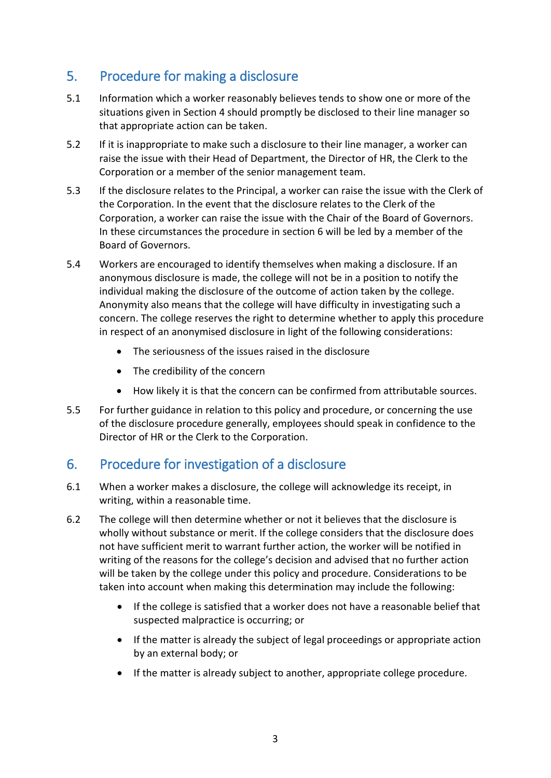# <span id="page-4-0"></span>5. Procedure for making a disclosure

- 5.1 Information which a worker reasonably believes tends to show one or more of the situations given in Section 4 should promptly be disclosed to their line manager so that appropriate action can be taken.
- 5.2 If it is inappropriate to make such a disclosure to their line manager, a worker can raise the issue with their Head of Department, the Director of HR, the Clerk to the Corporation or a member of the senior management team.
- 5.3 If the disclosure relates to the Principal, a worker can raise the issue with the Clerk of the Corporation. In the event that the disclosure relates to the Clerk of the Corporation, a worker can raise the issue with the Chair of the Board of Governors. In these circumstances the procedure in section 6 will be led by a member of the Board of Governors.
- 5.4 Workers are encouraged to identify themselves when making a disclosure. If an anonymous disclosure is made, the college will not be in a position to notify the individual making the disclosure of the outcome of action taken by the college. Anonymity also means that the college will have difficulty in investigating such a concern. The college reserves the right to determine whether to apply this procedure in respect of an anonymised disclosure in light of the following considerations:
	- The seriousness of the issues raised in the disclosure
	- The credibility of the concern
	- How likely it is that the concern can be confirmed from attributable sources.
- 5.5 For further guidance in relation to this policy and procedure, or concerning the use of the disclosure procedure generally, employees should speak in confidence to the Director of HR or the Clerk to the Corporation.

# <span id="page-4-1"></span>6. Procedure for investigation of a disclosure

- 6.1 When a worker makes a disclosure, the college will acknowledge its receipt, in writing, within a reasonable time.
- 6.2 The college will then determine whether or not it believes that the disclosure is wholly without substance or merit. If the college considers that the disclosure does not have sufficient merit to warrant further action, the worker will be notified in writing of the reasons for the college's decision and advised that no further action will be taken by the college under this policy and procedure. Considerations to be taken into account when making this determination may include the following:
	- If the college is satisfied that a worker does not have a reasonable belief that suspected malpractice is occurring; or
	- If the matter is already the subject of legal proceedings or appropriate action by an external body; or
	- If the matter is already subject to another, appropriate college procedure.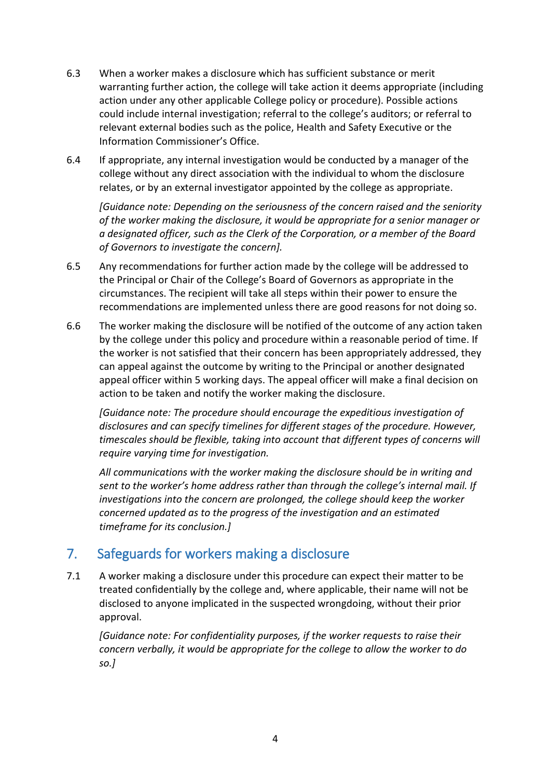- 6.3 When a worker makes a disclosure which has sufficient substance or merit warranting further action, the college will take action it deems appropriate (including action under any other applicable College policy or procedure). Possible actions could include internal investigation; referral to the college's auditors; or referral to relevant external bodies such as the police, Health and Safety Executive or the Information Commissioner's Office.
- 6.4 If appropriate, any internal investigation would be conducted by a manager of the college without any direct association with the individual to whom the disclosure relates, or by an external investigator appointed by the college as appropriate.

*[Guidance note: Depending on the seriousness of the concern raised and the seniority of the worker making the disclosure, it would be appropriate for a senior manager or a designated officer, such as the Clerk of the Corporation, or a member of the Board of Governors to investigate the concern].* 

- 6.5 Any recommendations for further action made by the college will be addressed to the Principal or Chair of the College's Board of Governors as appropriate in the circumstances. The recipient will take all steps within their power to ensure the recommendations are implemented unless there are good reasons for not doing so.
- 6.6 The worker making the disclosure will be notified of the outcome of any action taken by the college under this policy and procedure within a reasonable period of time. If the worker is not satisfied that their concern has been appropriately addressed, they can appeal against the outcome by writing to the Principal or another designated appeal officer within 5 working days. The appeal officer will make a final decision on action to be taken and notify the worker making the disclosure.

*[Guidance note: The procedure should encourage the expeditious investigation of disclosures and can specify timelines for different stages of the procedure. However, timescales should be flexible, taking into account that different types of concerns will require varying time for investigation.*

*All communications with the worker making the disclosure should be in writing and sent to the worker's home address rather than through the college's internal mail. If investigations into the concern are prolonged, the college should keep the worker concerned updated as to the progress of the investigation and an estimated timeframe for its conclusion.]* 

# <span id="page-5-0"></span>7. Safeguards for workers making a disclosure

7.1 A worker making a disclosure under this procedure can expect their matter to be treated confidentially by the college and, where applicable, their name will not be disclosed to anyone implicated in the suspected wrongdoing, without their prior approval.

*[Guidance note: For confidentiality purposes, if the worker requests to raise their concern verbally, it would be appropriate for the college to allow the worker to do so.]*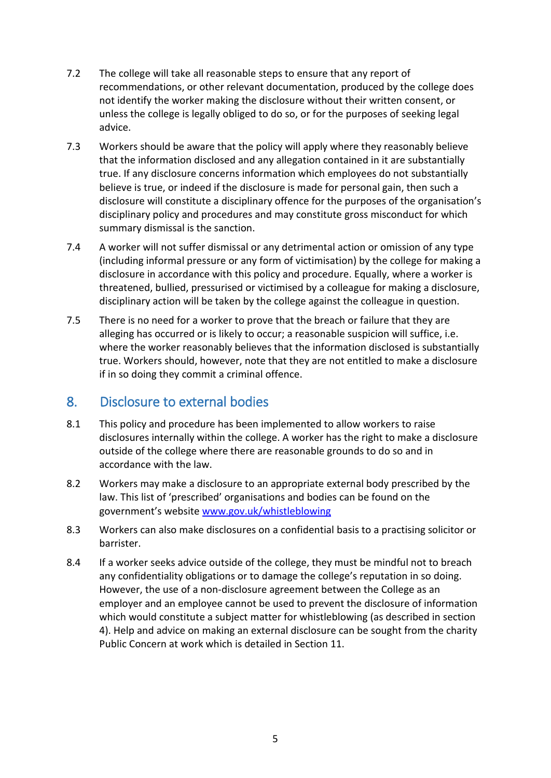- 7.2 The college will take all reasonable steps to ensure that any report of recommendations, or other relevant documentation, produced by the college does not identify the worker making the disclosure without their written consent, or unless the college is legally obliged to do so, or for the purposes of seeking legal advice.
- 7.3 Workers should be aware that the policy will apply where they reasonably believe that the information disclosed and any allegation contained in it are substantially true. If any disclosure concerns information which employees do not substantially believe is true, or indeed if the disclosure is made for personal gain, then such a disclosure will constitute a disciplinary offence for the purposes of the organisation's disciplinary policy and procedures and may constitute gross misconduct for which summary dismissal is the sanction.
- 7.4 A worker will not suffer dismissal or any detrimental action or omission of any type (including informal pressure or any form of victimisation) by the college for making a disclosure in accordance with this policy and procedure. Equally, where a worker is threatened, bullied, pressurised or victimised by a colleague for making a disclosure, disciplinary action will be taken by the college against the colleague in question.
- 7.5 There is no need for a worker to prove that the breach or failure that they are alleging has occurred or is likely to occur; a reasonable suspicion will suffice, i.e. where the worker reasonably believes that the information disclosed is substantially true. Workers should, however, note that they are not entitled to make a disclosure if in so doing they commit a criminal offence.

#### <span id="page-6-0"></span>8. Disclosure to external bodies

- 8.1 This policy and procedure has been implemented to allow workers to raise disclosures internally within the college. A worker has the right to make a disclosure outside of the college where there are reasonable grounds to do so and in accordance with the law.
- 8.2 Workers may make a disclosure to an appropriate external body prescribed by the law. This list of 'prescribed' organisations and bodies can be found on the government's website [www.gov.uk/](http://www.gov.uk/)whistleblowing
- 8.3 Workers can also make disclosures on a confidential basis to a practising solicitor or barrister.
- 8.4 If a worker seeks advice outside of the college, they must be mindful not to breach any confidentiality obligations or to damage the college's reputation in so doing. However, the use of a non-disclosure agreement between the College as an employer and an employee cannot be used to prevent the disclosure of information which would constitute a subject matter for whistleblowing (as described in section 4). Help and advice on making an external disclosure can be sought from the charity Public Concern at work which is detailed in Section 11.